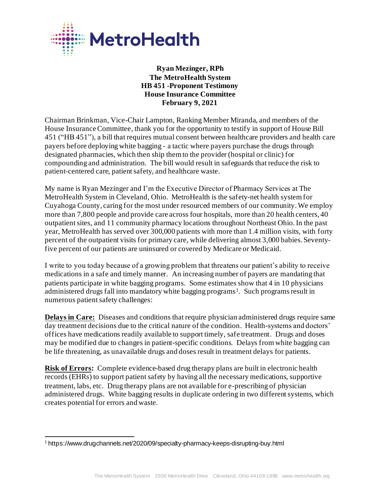

**Ryan Mezinger, RPh The MetroHealth System HB 451 -Proponent Testimony House Insurance Committee February 9, 2021**

Chairman Brinkman, Vice-Chair Lampton, Ranking Member Miranda, and members of the House Insurance Committee, thank you for the opportunity to testify in support of House Bill 451 ("HB 451"), a bill that requires mutual consent between healthcare providers and health care payers before deploying white bagging - a tactic where payers purchase the drugs through designated pharmacies, which then ship them to the provider (hospital or clinic) for compounding and administration. The bill would result in safeguards that reduce the risk to patient-centered care, patient safety, and healthcare waste.

My name is Ryan Mezinger and I'm the Executive Director of Pharmacy Services at The MetroHealth System in Cleveland, Ohio. MetroHealth is the safety-net health system for Cuyahoga County, caring for the most under resourced members of our community. We employ more than 7,800 people and provide care across four hospitals, more than 20 health centers, 40 outpatient sites, and 11 community pharmacy locations throughout Northeast Ohio. In the past year, MetroHealth has served over 300,000 patients with more than 1.4 million visits, with forty percent of the outpatient visits for primary care, while delivering almost 3,000 babies. Seventyfive percent of our patients are uninsured or covered by Medicare or Medicaid.

I write to you today because of a growing problem that threatens our patient's ability to receive medications in a safe and timely manner. An increasing number of payers are mandating that patients participate in white bagging programs. Some estimates show that 4 in 10 physicians administered drugs fall into mandatory white bagging programs<sup>1</sup>. Such programs result in numerous patient safety challenges:

**Delays in Care:** Diseases and conditions that require physician administered drugs require same day treatment decisions due to the critical nature of the condition. Health-systems and doctors' offices have medications readily available to support timely, safe treatment. Drugs and doses may be modified due to changes in patient-specific conditions. Delays from white bagging can be life threatening, as unavailable drugs and doses result in treatment delays for patients.

**Risk of Errors:** Complete evidence-based drug therapy plans are built in electronic health records (EHRs) to support patient safety by having all the necessary medications, supportive treatment, labs, etc. Drug therapy plans are not available for e-prescribing of physician administered drugs. White bagging results in duplicate ordering in two different systems, which creates potential for errors and waste.

<sup>1</sup> https://www.drugchannels.net/2020/09/specialty-pharmacy-keeps-disrupting-buy.html